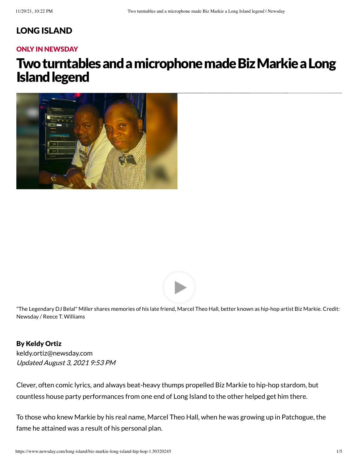### LONG [ISLAND](https://www.newsday.com/long-island)

#### ONLY IN NEWSDAY

# Two turntables and a microphone made Biz Markie a Long **Island legend**





"The Legendary DJ Belal" Miller shares memories of his late friend, Marcel Theo Hall, better known as hip-hop artist Biz Markie. Credit: Newsday / Reece T. Williams

By Keldy Ortiz Updated August 3, 2021 9:53 PM [keldy.ortiz@newsday.com](mailto:keldy.ortiz@newsday.com?subject=Two%20turntables%20and%20a%20microphone%20made%20Biz%20Markie%20a%20Long%20Island%20legend&body=Clever,%20often%20comic%20lyrics,%20and%20always%20beat-heavy%20thumps%20propelled%20Biz%20Markie%20to%20hip-hop%20stardom,%20but%20countless%20house%20party%20performances%20from%20one%20end%20of%20Long%20Island%20to%20the%20other%20helped%20get%20him%20there.%20%0D%0Ahttps://www.newsday.com/long-island/biz-markie-long-island-hip-hop-1.50320245)

Clever, often comic lyrics, and always beat-heavy thumps propelled Biz Markie to hip-hop stardom, but countless house party performances from one end of Long Island to the other helped get him there.

To those who knew Markie by his real name, Marcel Theo Hall, when he was growing up in Patchogue, the fame he attained was a result of his personal plan.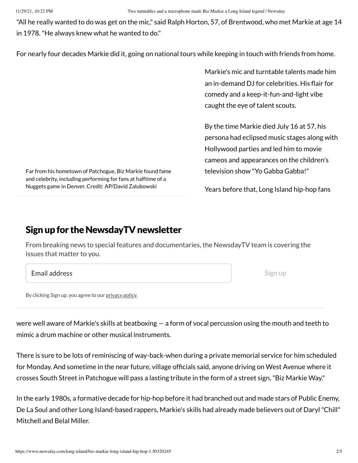"All he really wanted to do was get on the mic," said Ralph Horton, 57, of Brentwood, who met Markie at age 14 in 1978."He always knew what he wanted to do."

For nearly four decades Markie did it, going on national tours while keeping in touch with friends from home.

Markie's mic and turntable talents made him an in-demand DJ for celebrities. His flair for comedy and a keep-it-fun-and-light vibe caught the eye of talent scouts.

By the time Markie died July 16 at 57, his persona had eclipsed music stages along with Hollywood parties and led him to movie cameos and appearances on the children's television show "Yo Gabba Gabba!"

Years before that, Long Island hip-hop fans

### Sign up for the NewsdayTV newsletter

Far from his hometown of Patchogue, Biz Markie found fame and celebrity, including performing for fans at halftime of a Nuggets game in Denver. Credit: AP/David Zalubowski

From breaking news to special features and documentaries, the NewsdayTV team is covering the issues that matter to you.

Email address

Sign up

By clicking Sign up, you agree to our [privacy](https://www.newsday.com/privacy) policy.

were well aware of Markie's skills at beatboxing — a form of vocal percussion using the mouth and teeth to mimic a drum machine or other musical instruments.

There is sure to be lots of reminiscing of way-back-when during a private memorial service for him scheduled for Monday. And sometime in the near future, village officials said, anyone driving on West Avenue where it crosses South Street in Patchogue will pass a lasting tribute in the form of a street sign,"Biz Markie Way."

In the early 1980s, a formative decade for hip-hop before it had branched out and made stars of Public Enemy, De La Soul and other Long Island-based rappers, Markie's skills had already made believers out of Daryl"Chill" Mitchell and Belal Miller.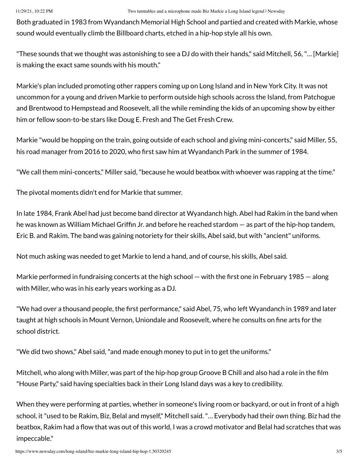Both graduated in 1983 from Wyandanch Memorial High School and partied and created with Markie, whose sound would eventually climb the Billboard charts, etched in a hip-hop style all his own.

"These sounds that we thought was astonishing to see a DJ do with their hands," said Mitchell, 56,"… [Markie] is making the exact same sounds with his mouth."

Markie's plan included promoting other rappers coming up on Long Island and in New York City. It was not uncommon for a young and driven Markie to perform outside high schools across the Island, from Patchogue and Brentwood to Hempstead and Roosevelt, all the while reminding the kids of an upcoming show by either him or fellow soon-to-be stars like Doug E. Fresh and The Get Fresh Crew.

Markie "would be hopping on the train, going outside of each school and giving mini-concerts," said Miller, 55, his road manager from 2016 to 2020, who first saw him at Wyandanch Park in the summer of 1984.

"We call them mini-concerts," Miller said,"because he would beatbox with whoever was rapping at the time."

The pivotal moments didn't end for Markie that summer.

In late 1984, Frank Abel had just become band director at Wyandanch high. Abel had Rakim in the band when he was known as William Michael Griffin Jr. and before he reached stardom — as part of the hip-hop tandem, Eric B. and Rakim. The band was gaining notoriety for their skills, Abel said, but with "ancient" uniforms.

Not much asking was needed to get Markie to lend a hand, and of course, his skills, Abel said.

Markie performed in fundraising concerts at the high school — with the first one in February 1985 — along with Miller, who was in his early years working as a DJ.

"We had over a thousand people, the first performance," said Abel, 75, who left Wyandanch in 1989 and later taught at high schools in Mount Vernon, Uniondale and Roosevelt, where he consults on fine arts for the school district.

"We did two shows," Abel said,"and made enough money to put in to get the uniforms."

Mitchell, who along with Miller, was part of the hip-hop group Groove B Chill and also had a role in the film "House Party," said having specialties back in their Long Island days was a key to credibility.

When they were performing at parties, whether in someone's living room or backyard, or out in front of a high school, it"used to be Rakim, Biz, Belal and myself," Mitchell said."… Everybody had their own thing. Biz had the beatbox, Rakim had a flow that was out of this world, I was a crowd motivator and Belal had scratches that was impeccable."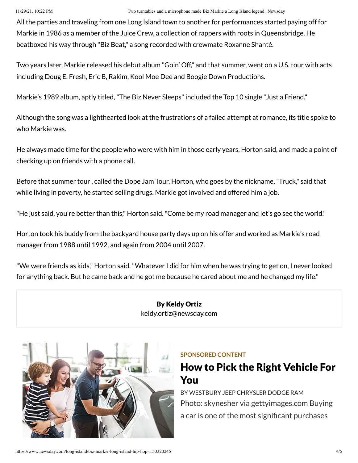All the parties and traveling from one Long Island town to another for performances started paying off for Markie in 1986 as a member of the Juice Crew, a collection of rappers with roots in Queensbridge. He beatboxed his way through "Biz Beat," a song recorded with crewmate Roxanne Shanté.

Two years later, Markie released his debut album "Goin' Off," and that summer, went on a U.S. tour with acts including Doug E. Fresh, Eric B, Rakim, Kool Moe Dee and Boogie Down Productions.

Markie's 1989 album, aptly titled, "The Biz Never Sleeps" included the Top 10 single "Just a Friend."

Although the song was a lighthearted look at the frustrations of a failed attempt at romance, its title spoke to who Markie was.

He always made time for the people who were with him in those early years, Horton said, and made a point of checking up on friends with a phone call.

Before that summer tour , called the Dope Jam Tour, Horton, who goes by the nickname,"Truck," said that while living in poverty, he started selling drugs. Markie got involved and offered him a job.

"He just said, you're better than this," Horton said."Come be my road manager and let's go see the world."

Horton took his buddy from the backyard house party days up on his offer and worked as Markie's road manager from 1988 until 1992, and again from 2004 until 2007.

"We were friends as kids," Horton said."Whatever I did for him when he was trying to get on, I never looked for anything back. But he came back and he got me because he cared about me and he changed my life."

> By Keldy Ortiz [keldy.ortiz@newsday.com](mailto:keldy.ortiz@newsday.com?subject=Two%20turntables%20and%20a%20microphone%20made%20Biz%20Markie%20a%20Long%20Island%20legend&body=Clever,%20often%20comic%20lyrics,%20and%20always%20beat-heavy%20thumps%20propelled%20Biz%20Markie%20to%20hip-hop%20stardom,%20but%20countless%20house%20party%20performances%20from%20one%20end%20of%20Long%20Island%20to%20the%20other%20helped%20get%20him%20there.%20%0D%0Ahttps://www.newsday.com/long-island/biz-markie-long-island-hip-hop-1.50320245)



#### **SPONSORED CONTENT**

## How to Pick the Right [Vehicle For](https://www.newsday.com/services/sponsored-content/promoted-1.8594397?prx_t=-CQHAkiRRAhrALA&ntv_acpl=766086&ntv_acsc=2&ntv_gsscm=835*5;839*5;847*27;&ntv_fr) You

BY [WESTBURY](https://www.newsday.com/services/sponsored-content/promoted-1.8594397?prx_t=-CQHAkiRRAhrALA&ntv_acpl=766086&ntv_acsc=2&ntv_gsscm=835*5;839*5;847*27;&ntv_fr) JEEP CHRYSLER DODGE RAM Photo: skynesher via gettyimages.com Buying a car is one of the most significant purchases

https://www.newsday.com/long-island/biz-markie-long-island-hip-hop-1.50320245 4/5